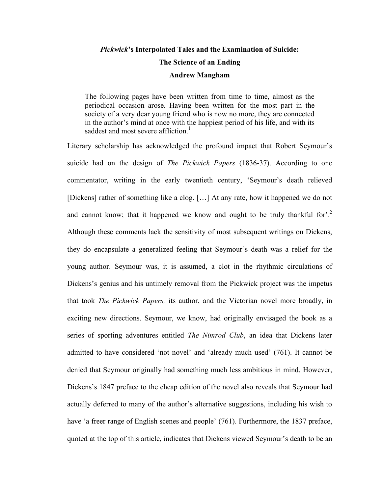# *Pickwick***'s Interpolated Tales and the Examination of Suicide: The Science of an Ending Andrew Mangham**

The following pages have been written from time to time, almost as the periodical occasion arose. Having been written for the most part in the society of a very dear young friend who is now no more, they are connected in the author's mind at once with the happiest period of his life, and with its saddest and most severe affliction.<sup>1</sup>

Literary scholarship has acknowledged the profound impact that Robert Seymour's suicide had on the design of *The Pickwick Papers* (1836-37). According to one commentator, writing in the early twentieth century, 'Seymour's death relieved [Dickens] rather of something like a clog. […] At any rate, how it happened we do not and cannot know; that it happened we know and ought to be truly thankful for'.<sup>2</sup> Although these comments lack the sensitivity of most subsequent writings on Dickens, they do encapsulate a generalized feeling that Seymour's death was a relief for the young author. Seymour was, it is assumed, a clot in the rhythmic circulations of Dickens's genius and his untimely removal from the Pickwick project was the impetus that took *The Pickwick Papers,* its author, and the Victorian novel more broadly, in exciting new directions. Seymour, we know, had originally envisaged the book as a series of sporting adventures entitled *The Nimrod Club*, an idea that Dickens later admitted to have considered 'not novel' and 'already much used' (761). It cannot be denied that Seymour originally had something much less ambitious in mind. However, Dickens's 1847 preface to the cheap edition of the novel also reveals that Seymour had actually deferred to many of the author's alternative suggestions, including his wish to have 'a freer range of English scenes and people' (761). Furthermore, the 1837 preface, quoted at the top of this article, indicates that Dickens viewed Seymour's death to be an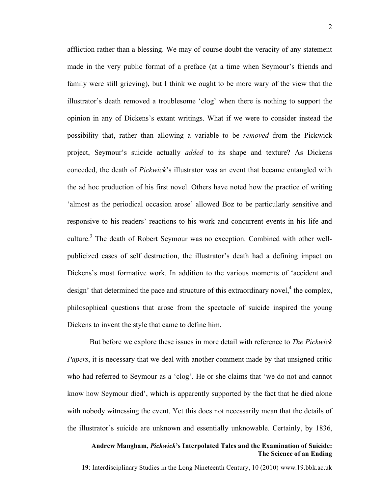affliction rather than a blessing. We may of course doubt the veracity of any statement made in the very public format of a preface (at a time when Seymour's friends and family were still grieving), but I think we ought to be more wary of the view that the illustrator's death removed a troublesome 'clog' when there is nothing to support the opinion in any of Dickens's extant writings. What if we were to consider instead the possibility that, rather than allowing a variable to be *removed* from the Pickwick project, Seymour's suicide actually *added* to its shape and texture? As Dickens conceded, the death of *Pickwick*'s illustrator was an event that became entangled with the ad hoc production of his first novel. Others have noted how the practice of writing 'almost as the periodical occasion arose' allowed Boz to be particularly sensitive and responsive to his readers' reactions to his work and concurrent events in his life and culture.<sup>3</sup> The death of Robert Seymour was no exception. Combined with other wellpublicized cases of self destruction, the illustrator's death had a defining impact on Dickens's most formative work. In addition to the various moments of 'accident and design' that determined the pace and structure of this extraordinary novel,<sup>4</sup> the complex, philosophical questions that arose from the spectacle of suicide inspired the young Dickens to invent the style that came to define him.

But before we explore these issues in more detail with reference to *The Pickwick Papers*, it is necessary that we deal with another comment made by that unsigned critic who had referred to Seymour as a 'clog'. He or she claims that 'we do not and cannot know how Seymour died', which is apparently supported by the fact that he died alone with nobody witnessing the event. Yet this does not necessarily mean that the details of the illustrator's suicide are unknown and essentially unknowable. Certainly, by 1836,

# **Andrew Mangham,** *Pickwick***'s Interpolated Tales and the Examination of Suicide: The Science of an Ending**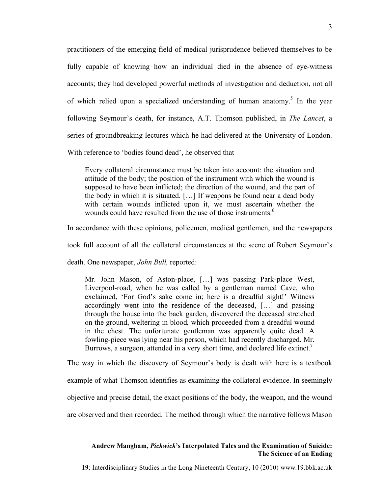practitioners of the emerging field of medical jurisprudence believed themselves to be fully capable of knowing how an individual died in the absence of eye-witness accounts; they had developed powerful methods of investigation and deduction, not all of which relied upon a specialized understanding of human anatomy.<sup>5</sup> In the year following Seymour's death, for instance, A.T. Thomson published, in *The Lancet*, a series of groundbreaking lectures which he had delivered at the University of London.

With reference to 'bodies found dead', he observed that

Every collateral circumstance must be taken into account: the situation and attitude of the body; the position of the instrument with which the wound is supposed to have been inflicted; the direction of the wound, and the part of the body in which it is situated. […] If weapons be found near a dead body with certain wounds inflicted upon it, we must ascertain whether the wounds could have resulted from the use of those instruments. 6

In accordance with these opinions, policemen, medical gentlemen, and the newspapers

took full account of all the collateral circumstances at the scene of Robert Seymour's

death. One newspaper, *John Bull,* reported:

Mr. John Mason, of Aston-place, […] was passing Park-place West, Liverpool-road, when he was called by a gentleman named Cave, who exclaimed, 'For God's sake come in; here is a dreadful sight!' Witness accordingly went into the residence of the deceased, […] and passing through the house into the back garden, discovered the deceased stretched on the ground, weltering in blood, which proceeded from a dreadful wound in the chest. The unfortunate gentleman was apparently quite dead. A fowling-piece was lying near his person, which had recently discharged. Mr. Burrows, a surgeon, attended in a very short time, and declared life extinct.<sup>7</sup>

The way in which the discovery of Seymour's body is dealt with here is a textbook

example of what Thomson identifies as examining the collateral evidence. In seemingly

objective and precise detail, the exact positions of the body, the weapon, and the wound

are observed and then recorded. The method through which the narrative follows Mason

# **Andrew Mangham,** *Pickwick***'s Interpolated Tales and the Examination of Suicide: The Science of an Ending**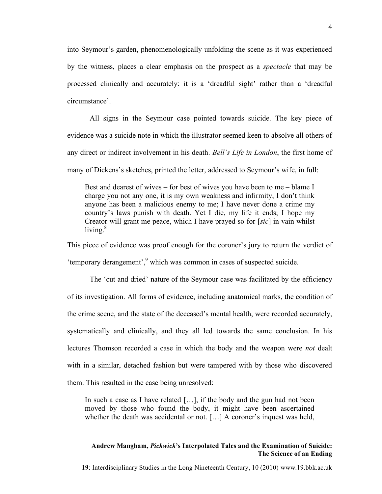into Seymour's garden, phenomenologically unfolding the scene as it was experienced by the witness, places a clear emphasis on the prospect as a *spectacle* that may be processed clinically and accurately: it is a 'dreadful sight' rather than a 'dreadful circumstance'.

All signs in the Seymour case pointed towards suicide. The key piece of evidence was a suicide note in which the illustrator seemed keen to absolve all others of any direct or indirect involvement in his death. *Bell's Life in London*, the first home of many of Dickens's sketches, printed the letter, addressed to Seymour's wife, in full:

Best and dearest of wives – for best of wives you have been to me – blame I charge you not any one, it is my own weakness and infirmity, I don't think anyone has been a malicious enemy to me; I have never done a crime my country's laws punish with death. Yet I die, my life it ends; I hope my Creator will grant me peace, which I have prayed so for [*sic*] in vain whilst living. $8$ 

This piece of evidence was proof enough for the coroner's jury to return the verdict of 'temporary derangement',<sup>9</sup> which was common in cases of suspected suicide.

The 'cut and dried' nature of the Seymour case was facilitated by the efficiency of its investigation. All forms of evidence, including anatomical marks, the condition of the crime scene, and the state of the deceased's mental health, were recorded accurately, systematically and clinically, and they all led towards the same conclusion. In his lectures Thomson recorded a case in which the body and the weapon were *not* dealt with in a similar, detached fashion but were tampered with by those who discovered them. This resulted in the case being unresolved:

In such a case as I have related [...], if the body and the gun had not been moved by those who found the body, it might have been ascertained whether the death was accidental or not. […] A coroner's inquest was held,

## **Andrew Mangham,** *Pickwick***'s Interpolated Tales and the Examination of Suicide: The Science of an Ending**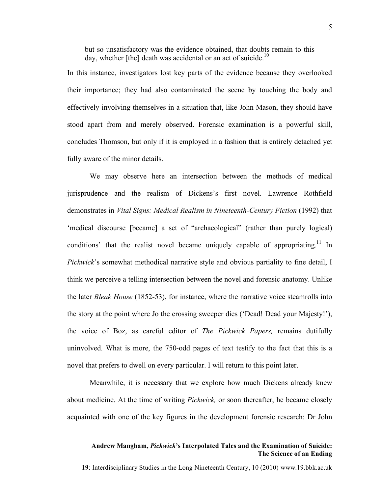but so unsatisfactory was the evidence obtained, that doubts remain to this day, whether [the] death was accidental or an act of suicide.<sup>10</sup>

In this instance, investigators lost key parts of the evidence because they overlooked their importance; they had also contaminated the scene by touching the body and effectively involving themselves in a situation that, like John Mason, they should have stood apart from and merely observed. Forensic examination is a powerful skill, concludes Thomson, but only if it is employed in a fashion that is entirely detached yet fully aware of the minor details.

We may observe here an intersection between the methods of medical jurisprudence and the realism of Dickens's first novel. Lawrence Rothfield demonstrates in *Vital Signs: Medical Realism in Nineteenth-Century Fiction* (1992) that 'medical discourse [became] a set of "archaeological" (rather than purely logical) conditions' that the realist novel became uniquely capable of appropriating.<sup>11</sup> In *Pickwick*'s somewhat methodical narrative style and obvious partiality to fine detail, I think we perceive a telling intersection between the novel and forensic anatomy. Unlike the later *Bleak House* (1852-53), for instance, where the narrative voice steamrolls into the story at the point where Jo the crossing sweeper dies ('Dead! Dead your Majesty!'), the voice of Boz, as careful editor of *The Pickwick Papers,* remains dutifully uninvolved. What is more, the 750-odd pages of text testify to the fact that this is a novel that prefers to dwell on every particular. I will return to this point later.

Meanwhile, it is necessary that we explore how much Dickens already knew about medicine. At the time of writing *Pickwick,* or soon thereafter, he became closely acquainted with one of the key figures in the development forensic research: Dr John

## **Andrew Mangham,** *Pickwick***'s Interpolated Tales and the Examination of Suicide: The Science of an Ending**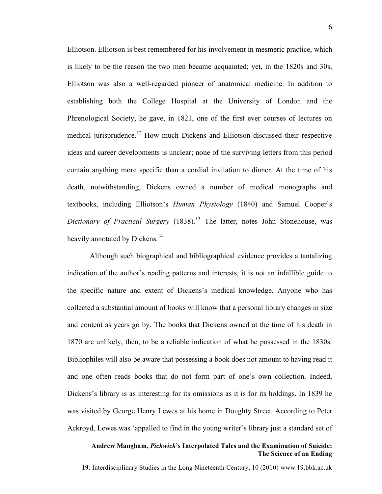Elliotson. Elliotson is best remembered for his involvement in mesmeric practice, which is likely to be the reason the two men became acquainted; yet, in the 1820s and 30s, Elliotson was also a well-regarded pioneer of anatomical medicine. In addition to establishing both the College Hospital at the University of London and the Phrenological Society, he gave, in 1821, one of the first ever courses of lectures on medical jurisprudence. <sup>12</sup> How much Dickens and Elliotson discussed their respective ideas and career developments is unclear; none of the surviving letters from this period contain anything more specific than a cordial invitation to dinner. At the time of his death, notwithstanding, Dickens owned a number of medical monographs and textbooks, including Elliotson's *Human Physiology* (1840) and Samuel Cooper's *Dictionary of Practical Surgery* (1838). <sup>13</sup> The latter, notes John Stonehouse, was heavily annotated by Dickens.<sup>14</sup>

Although such biographical and bibliographical evidence provides a tantalizing indication of the author's reading patterns and interests, it is not an infallible guide to the specific nature and extent of Dickens's medical knowledge. Anyone who has collected a substantial amount of books will know that a personal library changes in size and content as years go by. The books that Dickens owned at the time of his death in 1870 are unlikely, then, to be a reliable indication of what he possessed in the 1830s. Bibliophiles will also be aware that possessing a book does not amount to having read it and one often reads books that do not form part of one's own collection. Indeed, Dickens's library is as interesting for its omissions as it is for its holdings. In 1839 he was visited by George Henry Lewes at his home in Doughty Street. According to Peter Ackroyd, Lewes was 'appalled to find in the young writer's library just a standard set of

## **Andrew Mangham,** *Pickwick***'s Interpolated Tales and the Examination of Suicide: The Science of an Ending**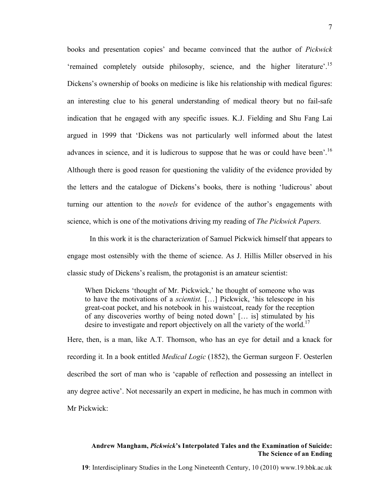books and presentation copies' and became convinced that the author of *Pickwick* 'remained completely outside philosophy, science, and the higher literature'.<sup>15</sup> Dickens's ownership of books on medicine is like his relationship with medical figures: an interesting clue to his general understanding of medical theory but no fail-safe indication that he engaged with any specific issues. K.J. Fielding and Shu Fang Lai argued in 1999 that 'Dickens was not particularly well informed about the latest advances in science, and it is ludicrous to suppose that he was or could have been'.<sup>16</sup> Although there is good reason for questioning the validity of the evidence provided by the letters and the catalogue of Dickens's books, there is nothing 'ludicrous' about turning our attention to the *novels* for evidence of the author's engagements with science, which is one of the motivations driving my reading of *The Pickwick Papers.*

In this work it is the characterization of Samuel Pickwick himself that appears to engage most ostensibly with the theme of science. As J. Hillis Miller observed in his classic study of Dickens's realism, the protagonist is an amateur scientist:

When Dickens 'thought of Mr. Pickwick,' he thought of someone who was to have the motivations of a *scientist.* […] Pickwick, 'his telescope in his great-coat pocket, and his notebook in his waistcoat, ready for the reception of any discoveries worthy of being noted down' [… is] stimulated by his desire to investigate and report objectively on all the variety of the world.<sup>17</sup>

Here, then, is a man, like A.T. Thomson, who has an eye for detail and a knack for recording it. In a book entitled *Medical Logic* (1852), the German surgeon F. Oesterlen described the sort of man who is 'capable of reflection and possessing an intellect in any degree active'. Not necessarily an expert in medicine, he has much in common with Mr Pickwick:

### **Andrew Mangham,** *Pickwick***'s Interpolated Tales and the Examination of Suicide: The Science of an Ending**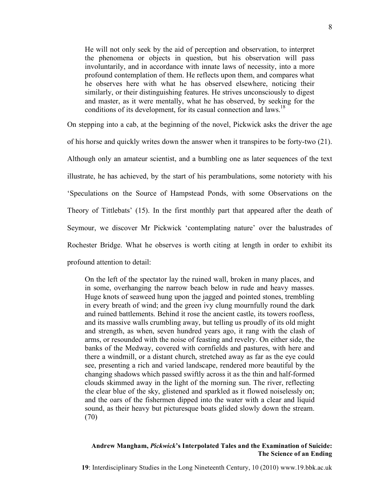He will not only seek by the aid of perception and observation, to interpret the phenomena or objects in question, but his observation will pass involuntarily, and in accordance with innate laws of necessity, into a more profound contemplation of them. He reflects upon them, and compares what he observes here with what he has observed elsewhere, noticing their similarly, or their distinguishing features. He strives unconsciously to digest and master, as it were mentally, what he has observed, by seeking for the conditions of its development, for its casual connection and laws.<sup>18</sup>

On stepping into a cab, at the beginning of the novel, Pickwick asks the driver the age

of his horse and quickly writes down the answer when it transpires to be forty-two (21).

Although only an amateur scientist, and a bumbling one as later sequences of the text illustrate, he has achieved, by the start of his perambulations, some notoriety with his 'Speculations on the Source of Hampstead Ponds, with some Observations on the Theory of Tittlebats' (15). In the first monthly part that appeared after the death of Seymour, we discover Mr Pickwick 'contemplating nature' over the balustrades of Rochester Bridge. What he observes is worth citing at length in order to exhibit its profound attention to detail:

On the left of the spectator lay the ruined wall, broken in many places, and in some, overhanging the narrow beach below in rude and heavy masses. Huge knots of seaweed hung upon the jagged and pointed stones, trembling in every breath of wind; and the green ivy clung mournfully round the dark and ruined battlements. Behind it rose the ancient castle, its towers roofless, and its massive walls crumbling away, but telling us proudly of its old might and strength, as when, seven hundred years ago, it rang with the clash of arms, or resounded with the noise of feasting and revelry. On either side, the banks of the Medway, covered with cornfields and pastures, with here and there a windmill, or a distant church, stretched away as far as the eye could see, presenting a rich and varied landscape, rendered more beautiful by the changing shadows which passed swiftly across it as the thin and half-formed clouds skimmed away in the light of the morning sun. The river, reflecting the clear blue of the sky, glistened and sparkled as it flowed noiselessly on; and the oars of the fishermen dipped into the water with a clear and liquid sound, as their heavy but picturesque boats glided slowly down the stream. (70)

#### **Andrew Mangham,** *Pickwick***'s Interpolated Tales and the Examination of Suicide: The Science of an Ending**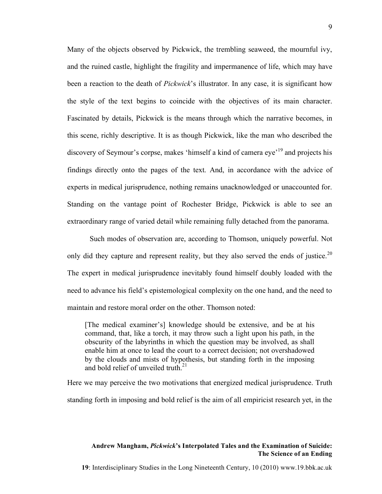Many of the objects observed by Pickwick, the trembling seaweed, the mournful ivy, and the ruined castle, highlight the fragility and impermanence of life, which may have been a reaction to the death of *Pickwick*'s illustrator. In any case, it is significant how the style of the text begins to coincide with the objectives of its main character. Fascinated by details, Pickwick is the means through which the narrative becomes, in this scene, richly descriptive. It is as though Pickwick, like the man who described the discovery of Seymour's corpse, makes 'himself a kind of camera eye<sup>, 19</sup> and projects his findings directly onto the pages of the text. And, in accordance with the advice of experts in medical jurisprudence, nothing remains unacknowledged or unaccounted for. Standing on the vantage point of Rochester Bridge, Pickwick is able to see an extraordinary range of varied detail while remaining fully detached from the panorama.

Such modes of observation are, according to Thomson, uniquely powerful. Not only did they capture and represent reality, but they also served the ends of justice.<sup>20</sup> The expert in medical jurisprudence inevitably found himself doubly loaded with the need to advance his field's epistemological complexity on the one hand, and the need to maintain and restore moral order on the other. Thomson noted:

[The medical examiner's] knowledge should be extensive, and be at his command, that, like a torch, it may throw such a light upon his path, in the obscurity of the labyrinths in which the question may be involved, as shall enable him at once to lead the court to a correct decision; not overshadowed by the clouds and mists of hypothesis, but standing forth in the imposing and bold relief of unveiled truth  $21$ 

Here we may perceive the two motivations that energized medical jurisprudence. Truth standing forth in imposing and bold relief is the aim of all empiricist research yet, in the

### **Andrew Mangham,** *Pickwick***'s Interpolated Tales and the Examination of Suicide: The Science of an Ending**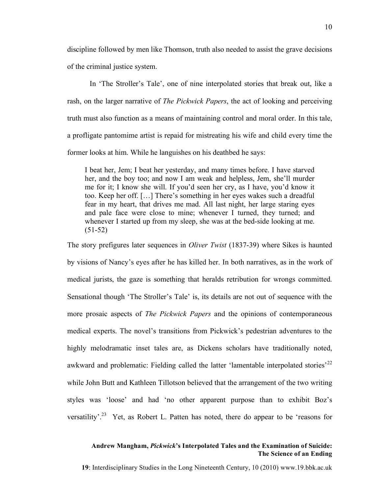discipline followed by men like Thomson, truth also needed to assist the grave decisions of the criminal justice system.

In 'The Stroller's Tale', one of nine interpolated stories that break out, like a rash, on the larger narrative of *The Pickwick Papers*, the act of looking and perceiving truth must also function as a means of maintaining control and moral order. In this tale, a profligate pantomime artist is repaid for mistreating his wife and child every time the former looks at him. While he languishes on his deathbed he says:

I beat her, Jem; I beat her yesterday, and many times before. I have starved her, and the boy too; and now I am weak and helpless, Jem, she'll murder me for it; I know she will. If you'd seen her cry, as I have, you'd know it too. Keep her off. […] There's something in her eyes wakes such a dreadful fear in my heart, that drives me mad. All last night, her large staring eyes and pale face were close to mine; whenever I turned, they turned; and whenever I started up from my sleep, she was at the bed-side looking at me. (51-52)

The story prefigures later sequences in *Oliver Twist* (1837-39) where Sikes is haunted by visions of Nancy's eyes after he has killed her. In both narratives, as in the work of medical jurists, the gaze is something that heralds retribution for wrongs committed. Sensational though 'The Stroller's Tale' is, its details are not out of sequence with the more prosaic aspects of *The Pickwick Papers* and the opinions of contemporaneous medical experts. The novel's transitions from Pickwick's pedestrian adventures to the highly melodramatic inset tales are, as Dickens scholars have traditionally noted, awkward and problematic: Fielding called the latter 'lamentable interpolated stories'<sup>22</sup> while John Butt and Kathleen Tillotson believed that the arrangement of the two writing styles was 'loose' and had 'no other apparent purpose than to exhibit Boz's versatility'.<sup>23</sup> Yet, as Robert L. Patten has noted, there do appear to be 'reasons for

# **Andrew Mangham,** *Pickwick***'s Interpolated Tales and the Examination of Suicide: The Science of an Ending**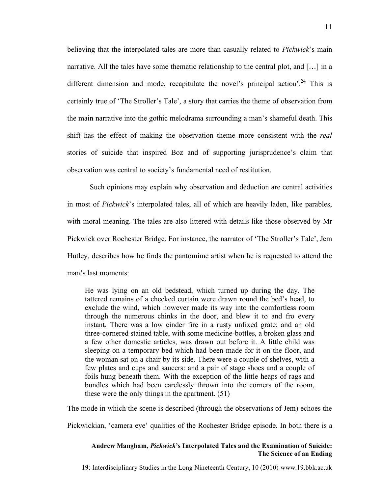believing that the interpolated tales are more than casually related to *Pickwick*'s main narrative. All the tales have some thematic relationship to the central plot, and […] in a different dimension and mode, recapitulate the novel's principal action'.<sup>24</sup> This is certainly true of 'The Stroller's Tale', a story that carries the theme of observation from the main narrative into the gothic melodrama surrounding a man's shameful death. This shift has the effect of making the observation theme more consistent with the *real* stories of suicide that inspired Boz and of supporting jurisprudence's claim that observation was central to society's fundamental need of restitution.

Such opinions may explain why observation and deduction are central activities in most of *Pickwick*'s interpolated tales, all of which are heavily laden, like parables, with moral meaning. The tales are also littered with details like those observed by Mr Pickwick over Rochester Bridge. For instance, the narrator of 'The Stroller's Tale', Jem Hutley, describes how he finds the pantomime artist when he is requested to attend the man's last moments:

He was lying on an old bedstead, which turned up during the day. The tattered remains of a checked curtain were drawn round the bed's head, to exclude the wind, which however made its way into the comfortless room through the numerous chinks in the door, and blew it to and fro every instant. There was a low cinder fire in a rusty unfixed grate; and an old three-cornered stained table, with some medicine-bottles, a broken glass and a few other domestic articles, was drawn out before it. A little child was sleeping on a temporary bed which had been made for it on the floor, and the woman sat on a chair by its side. There were a couple of shelves, with a few plates and cups and saucers: and a pair of stage shoes and a couple of foils hung beneath them. With the exception of the little heaps of rags and bundles which had been carelessly thrown into the corners of the room, these were the only things in the apartment. (51)

The mode in which the scene is described (through the observations of Jem) echoes the

Pickwickian, 'camera eye' qualities of the Rochester Bridge episode. In both there is a

## **Andrew Mangham,** *Pickwick***'s Interpolated Tales and the Examination of Suicide: The Science of an Ending**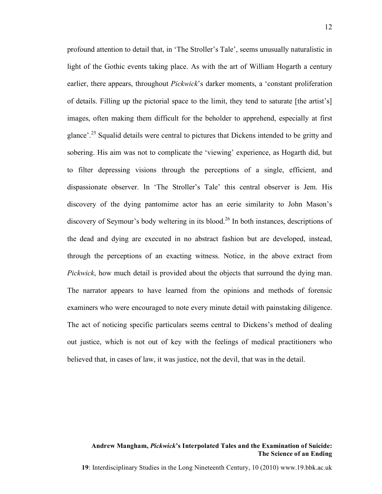profound attention to detail that, in 'The Stroller's Tale', seems unusually naturalistic in light of the Gothic events taking place. As with the art of William Hogarth a century earlier, there appears, throughout *Pickwick*'s darker moments, a 'constant proliferation of details. Filling up the pictorial space to the limit, they tend to saturate [the artist's] images, often making them difficult for the beholder to apprehend, especially at first glance'.<sup>25</sup> Squalid details were central to pictures that Dickens intended to be gritty and sobering. His aim was not to complicate the 'viewing' experience, as Hogarth did, but to filter depressing visions through the perceptions of a single, efficient, and dispassionate observer. In 'The Stroller's Tale' this central observer is Jem. His discovery of the dying pantomime actor has an eerie similarity to John Mason's discovery of Seymour's body weltering in its blood.<sup>26</sup> In both instances, descriptions of the dead and dying are executed in no abstract fashion but are developed, instead, through the perceptions of an exacting witness. Notice, in the above extract from *Pickwick*, how much detail is provided about the objects that surround the dying man. The narrator appears to have learned from the opinions and methods of forensic examiners who were encouraged to note every minute detail with painstaking diligence. The act of noticing specific particulars seems central to Dickens's method of dealing out justice, which is not out of key with the feelings of medical practitioners who believed that, in cases of law, it was justice, not the devil, that was in the detail.

## **Andrew Mangham,** *Pickwick***'s Interpolated Tales and the Examination of Suicide: The Science of an Ending**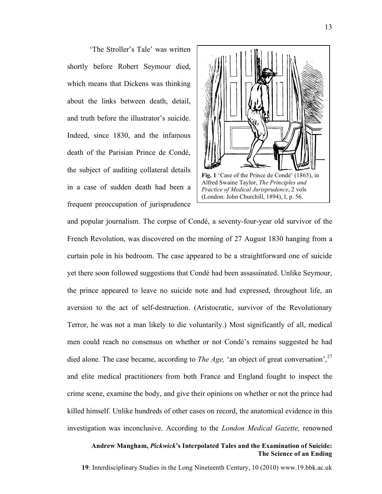'The Stroller's Tale' was written shortly before Robert Seymour died, which means that Dickens was thinking about the links between death, detail, and truth before the illustrator's suicide. Indeed, since 1830, and the infamous death of the Parisian Prince de Condé, the subject of auditing collateral details in a case of sudden death had been a frequent preoccupation of jurisprudence



and popular journalism. The corpse of Condé, a seventy-four-year old survivor of the French Revolution, was discovered on the morning of 27 August 1830 hanging from a curtain pole in his bedroom. The case appeared to be a straightforward one of suicide yet there soon followed suggestions that Condé had been assassinated. Unlike Seymour, the prince appeared to leave no suicide note and had expressed, throughout life, an aversion to the act of self-destruction. (Aristocratic, survivor of the Revolutionary Terror, he was not a man likely to die voluntarily.) Most significantly of all, medical men could reach no consensus on whether or not Condé's remains suggested he had died alone. The case became, according to *The Age*, 'an object of great conversation',<sup>27</sup> and elite medical practitioners from both France and England fought to inspect the crime scene, examine the body, and give their opinions on whether or not the prince had killed himself. Unlike hundreds of other cases on record, the anatomical evidence in this investigation was inconclusive. According to the *London Medical Gazette,* renowned

## **Andrew Mangham,** *Pickwick***'s Interpolated Tales and the Examination of Suicide: The Science of an Ending**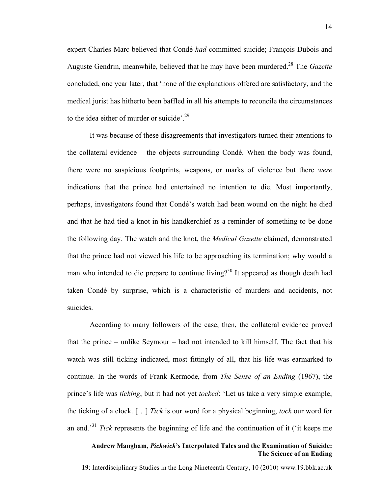expert Charles Marc believed that Condé *had* committed suicide; François Dubois and Auguste Gendrin, meanwhile, believed that he may have been murdered.<sup>28</sup> The *Gazette* concluded, one year later, that 'none of the explanations offered are satisfactory, and the medical jurist has hitherto been baffled in all his attempts to reconcile the circumstances to the idea either of murder or suicide'.<sup>29</sup>

It was because of these disagreements that investigators turned their attentions to the collateral evidence – the objects surrounding Condé. When the body was found, there were no suspicious footprints, weapons, or marks of violence but there *were* indications that the prince had entertained no intention to die. Most importantly, perhaps, investigators found that Condé's watch had been wound on the night he died and that he had tied a knot in his handkerchief as a reminder of something to be done the following day. The watch and the knot, the *Medical Gazette* claimed, demonstrated that the prince had not viewed his life to be approaching its termination; why would a man who intended to die prepare to continue living?<sup>30</sup> It appeared as though death had taken Condé by surprise, which is a characteristic of murders and accidents, not suicides.

According to many followers of the case, then, the collateral evidence proved that the prince – unlike Seymour – had not intended to kill himself. The fact that his watch was still ticking indicated, most fittingly of all, that his life was earmarked to continue. In the words of Frank Kermode, from *The Sense of an Ending* (1967), the prince's life was *ticking*, but it had not yet *tocked*: 'Let us take a very simple example, the ticking of a clock. […] *Tick* is our word for a physical beginning, *tock* our word for an end.' <sup>31</sup> *Tick* represents the beginning of life and the continuation of it ('it keeps me

# **Andrew Mangham,** *Pickwick***'s Interpolated Tales and the Examination of Suicide: The Science of an Ending**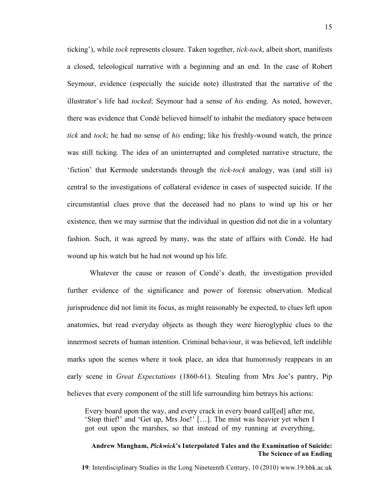ticking'), while *tock* represents closure. Taken together, *tick-tock*, albeit short, manifests a closed, teleological narrative with a beginning and an end. In the case of Robert Seymour, evidence (especially the suicide note) illustrated that the narrative of the illustrator's life had *tocked*; Seymour had a sense of *his* ending. As noted, however, there was evidence that Condé believed himself to inhabit the mediatory space between *tick* and *tock*; he had no sense of *his* ending; like his freshly-wound watch, the prince was still ticking. The idea of an uninterrupted and completed narrative structure, the 'fiction' that Kermode understands through the *tick-tock* analogy, was (and still is) central to the investigations of collateral evidence in cases of suspected suicide. If the circumstantial clues prove that the deceased had no plans to wind up his or her existence, then we may surmise that the individual in question did not die in a voluntary fashion. Such, it was agreed by many, was the state of affairs with Condé. He had wound up his watch but he had not wound up his life.

Whatever the cause or reason of Condé's death, the investigation provided further evidence of the significance and power of forensic observation. Medical jurisprudence did not limit its focus, as might reasonably be expected, to clues left upon anatomies, but read everyday objects as though they were hieroglyphic clues to the innermost secrets of human intention. Criminal behaviour, it was believed, left indelible marks upon the scenes where it took place, an idea that humorously reappears in an early scene in *Great Expectations* (1860-61). Stealing from Mrs Joe's pantry, Pip believes that every component of the still life surrounding him betrays his actions:

Every board upon the way, and every crack in every board call[ed] after me, 'Stop thief!' and 'Get up, Mrs Joe!' […]. The mist was heavier yet when I got out upon the marshes, so that instead of my running at everything,

## **Andrew Mangham,** *Pickwick***'s Interpolated Tales and the Examination of Suicide: The Science of an Ending**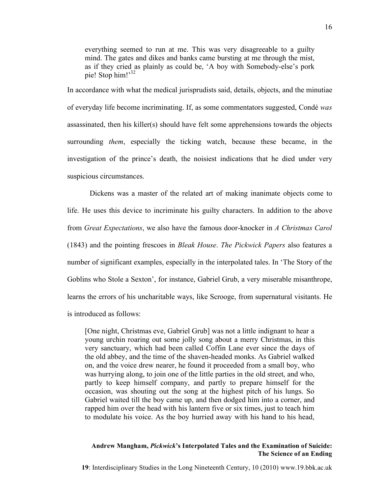everything seemed to run at me. This was very disagreeable to a guilty mind. The gates and dikes and banks came bursting at me through the mist, as if they cried as plainly as could be, 'A boy with Somebody-else's pork pie! Stop him!' 32

In accordance with what the medical jurisprudists said, details, objects, and the minutiae of everyday life become incriminating. If, as some commentators suggested, Condé *was* assassinated, then his killer(s) should have felt some apprehensions towards the objects surrounding *them*, especially the ticking watch, because these became, in the investigation of the prince's death, the noisiest indications that he died under very suspicious circumstances.

Dickens was a master of the related art of making inanimate objects come to life. He uses this device to incriminate his guilty characters. In addition to the above from *Great Expectations*, we also have the famous door-knocker in *A Christmas Carol* (1843) and the pointing frescoes in *Bleak House*. *The Pickwick Papers* also features a number of significant examples, especially in the interpolated tales. In 'The Story of the Goblins who Stole a Sexton', for instance, Gabriel Grub, a very miserable misanthrope, learns the errors of his uncharitable ways, like Scrooge, from supernatural visitants. He is introduced as follows:

[One night, Christmas eve, Gabriel Grub] was not a little indignant to hear a young urchin roaring out some jolly song about a merry Christmas, in this very sanctuary, which had been called Coffin Lane ever since the days of the old abbey, and the time of the shaven-headed monks. As Gabriel walked on, and the voice drew nearer, he found it proceeded from a small boy, who was hurrying along, to join one of the little parties in the old street, and who, partly to keep himself company, and partly to prepare himself for the occasion, was shouting out the song at the highest pitch of his lungs. So Gabriel waited till the boy came up, and then dodged him into a corner, and rapped him over the head with his lantern five or six times, just to teach him to modulate his voice. As the boy hurried away with his hand to his head,

### **Andrew Mangham,** *Pickwick***'s Interpolated Tales and the Examination of Suicide: The Science of an Ending**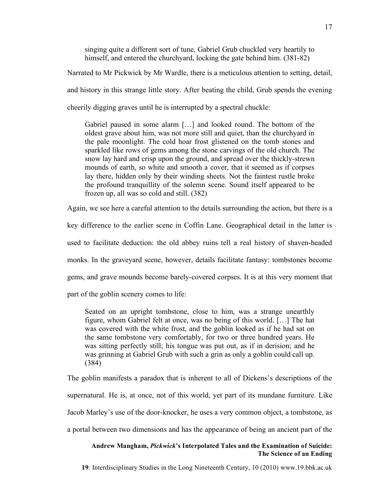singing quite a different sort of tune, Gabriel Grub chuckled very heartily to himself, and entered the churchyard, locking the gate behind him. (381-82)

Narrated to Mr Pickwick by Mr Wardle, there is a meticulous attention to setting, detail,

and history in this strange little story. After beating the child, Grub spends the evening

cheerily digging graves until he is interrupted by a spectral chuckle:

Gabriel paused in some alarm […] and looked round. The bottom of the oldest grave about him, was not more still and quiet, than the churchyard in the pale moonlight. The cold hoar frost glistened on the tomb stones and sparkled like rows of gems among the stone carvings of the old church. The snow lay hard and crisp upon the ground, and spread over the thickly-strewn mounds of earth, so white and smooth a cover, that it seemed as if corpses lay there, hidden only by their winding sheets. Not the faintest rustle broke the profound tranquillity of the solemn scene. Sound itself appeared to be frozen up, all was so cold and still. (382)

Again, we see here a careful attention to the details surrounding the action, but there is a

key difference to the earlier scene in Coffin Lane. Geographical detail in the latter is

used to facilitate deduction: the old abbey ruins tell a real history of shaven-headed

monks. In the graveyard scene, however, details facilitate fantasy: tombstones become

gems, and grave mounds become barely-covered corpses. It is at this very moment that

part of the goblin scenery comes to life:

Seated on an upright tombstone, close to him, was a strange unearthly figure, whom Gabriel felt at once, was no being of this world. […] The hat was covered with the white frost, and the goblin looked as if he had sat on the same tombstone very comfortably, for two or three hundred years. He was sitting perfectly still; his tongue was put out, as if in derision; and he was grinning at Gabriel Grub with such a grin as only a goblin could call up. (384)

The goblin manifests a paradox that is inherent to all of Dickens's descriptions of the supernatural. He is, at once, not of this world, yet part of its mundane furniture. Like Jacob Marley's use of the door-knocker, he uses a very common object, a tombstone, as a portal between two dimensions and has the appearance of being an ancient part of the

## **Andrew Mangham,** *Pickwick***'s Interpolated Tales and the Examination of Suicide: The Science of an Ending**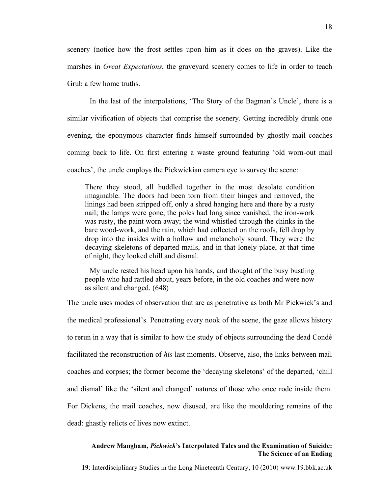scenery (notice how the frost settles upon him as it does on the graves). Like the marshes in *Great Expectations*, the graveyard scenery comes to life in order to teach Grub a few home truths.

In the last of the interpolations, 'The Story of the Bagman's Uncle', there is a similar vivification of objects that comprise the scenery. Getting incredibly drunk one evening, the eponymous character finds himself surrounded by ghostly mail coaches coming back to life. On first entering a waste ground featuring 'old worn-out mail coaches', the uncle employs the Pickwickian camera eye to survey the scene:

There they stood, all huddled together in the most desolate condition imaginable. The doors had been torn from their hinges and removed, the linings had been stripped off, only a shred hanging here and there by a rusty nail; the lamps were gone, the poles had long since vanished, the iron-work was rusty, the paint worn away; the wind whistled through the chinks in the bare wood-work, and the rain, which had collected on the roofs, fell drop by drop into the insides with a hollow and melancholy sound. They were the decaying skeletons of departed mails, and in that lonely place, at that time of night, they looked chill and dismal.

My uncle rested his head upon his hands, and thought of the busy bustling people who had rattled about, years before, in the old coaches and were now as silent and changed. (648)

The uncle uses modes of observation that are as penetrative as both Mr Pickwick's and the medical professional's. Penetrating every nook of the scene, the gaze allows history to rerun in a way that is similar to how the study of objects surrounding the dead Condé facilitated the reconstruction of *his* last moments. Observe, also, the links between mail coaches and corpses; the former become the 'decaying skeletons' of the departed, 'chill and dismal' like the 'silent and changed' natures of those who once rode inside them. For Dickens, the mail coaches, now disused, are like the mouldering remains of the dead: ghastly relicts of lives now extinct.

# **Andrew Mangham,** *Pickwick***'s Interpolated Tales and the Examination of Suicide: The Science of an Ending**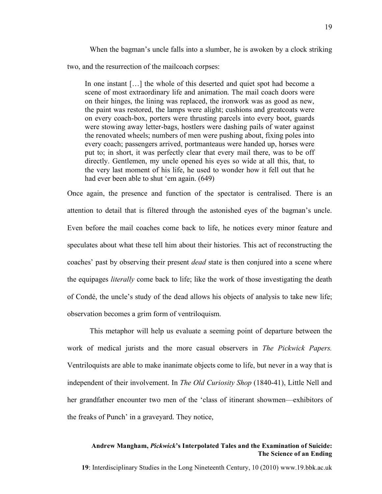When the bagman's uncle falls into a slumber, he is awoken by a clock striking two, and the resurrection of the mailcoach corpses:

In one instant […] the whole of this deserted and quiet spot had become a scene of most extraordinary life and animation. The mail coach doors were on their hinges, the lining was replaced, the ironwork was as good as new, the paint was restored, the lamps were alight; cushions and greatcoats were on every coach-box, porters were thrusting parcels into every boot, guards were stowing away letter-bags, hostlers were dashing pails of water against the renovated wheels; numbers of men were pushing about, fixing poles into every coach; passengers arrived, portmanteaus were handed up, horses were put to; in short, it was perfectly clear that every mail there, was to be off directly. Gentlemen, my uncle opened his eyes so wide at all this, that, to the very last moment of his life, he used to wonder how it fell out that he had ever been able to shut 'em again. (649)

Once again, the presence and function of the spectator is centralised. There is an attention to detail that is filtered through the astonished eyes of the bagman's uncle. Even before the mail coaches come back to life, he notices every minor feature and speculates about what these tell him about their histories. This act of reconstructing the coaches' past by observing their present *dead* state is then conjured into a scene where the equipages *literally* come back to life; like the work of those investigating the death of Condé, the uncle's study of the dead allows his objects of analysis to take new life; observation becomes a grim form of ventriloquism.

This metaphor will help us evaluate a seeming point of departure between the work of medical jurists and the more casual observers in *The Pickwick Papers.* Ventriloquists are able to make inanimate objects come to life, but never in a way that is independent of their involvement. In *The Old Curiosity Shop* (1840-41), Little Nell and her grandfather encounter two men of the 'class of itinerant showmen—exhibitors of the freaks of Punch' in a graveyard. They notice,

### **Andrew Mangham,** *Pickwick***'s Interpolated Tales and the Examination of Suicide: The Science of an Ending**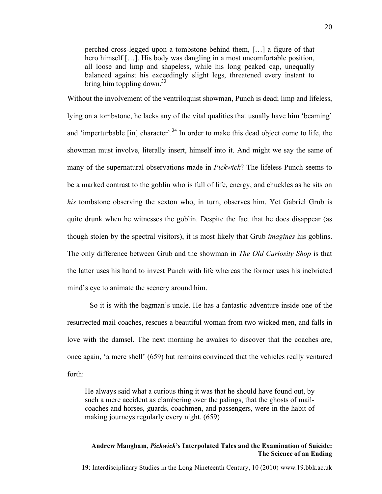perched cross-legged upon a tombstone behind them, […] a figure of that hero himself [...]. His body was dangling in a most uncomfortable position, all loose and limp and shapeless, while his long peaked cap, unequally balanced against his exceedingly slight legs, threatened every instant to bring him toppling down.<sup>33</sup>

Without the involvement of the ventriloquist showman, Punch is dead; limp and lifeless, lying on a tombstone, he lacks any of the vital qualities that usually have him 'beaming' and 'imperturbable [in] character'.<sup>34</sup> In order to make this dead object come to life, the showman must involve, literally insert, himself into it. And might we say the same of many of the supernatural observations made in *Pickwick*? The lifeless Punch seems to be a marked contrast to the goblin who is full of life, energy, and chuckles as he sits on *his* tombstone observing the sexton who, in turn, observes him. Yet Gabriel Grub is quite drunk when he witnesses the goblin. Despite the fact that he does disappear (as though stolen by the spectral visitors), it is most likely that Grub *imagines* his goblins. The only difference between Grub and the showman in *The Old Curiosity Shop* is that the latter uses his hand to invest Punch with life whereas the former uses his inebriated mind's eye to animate the scenery around him.

So it is with the bagman's uncle. He has a fantastic adventure inside one of the resurrected mail coaches, rescues a beautiful woman from two wicked men, and falls in love with the damsel. The next morning he awakes to discover that the coaches are, once again, 'a mere shell' (659) but remains convinced that the vehicles really ventured forth:

He always said what a curious thing it was that he should have found out, by such a mere accident as clambering over the palings, that the ghosts of mailcoaches and horses, guards, coachmen, and passengers, were in the habit of making journeys regularly every night. (659)

## **Andrew Mangham,** *Pickwick***'s Interpolated Tales and the Examination of Suicide: The Science of an Ending**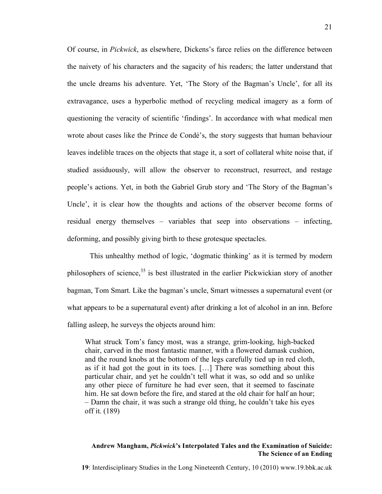Of course, in *Pickwick*, as elsewhere, Dickens's farce relies on the difference between the naivety of his characters and the sagacity of his readers; the latter understand that the uncle dreams his adventure. Yet, 'The Story of the Bagman's Uncle', for all its extravagance, uses a hyperbolic method of recycling medical imagery as a form of questioning the veracity of scientific 'findings'. In accordance with what medical men wrote about cases like the Prince de Condé's, the story suggests that human behaviour leaves indelible traces on the objects that stage it, a sort of collateral white noise that, if studied assiduously, will allow the observer to reconstruct, resurrect, and restage people's actions. Yet, in both the Gabriel Grub story and 'The Story of the Bagman's Uncle', it is clear how the thoughts and actions of the observer become forms of residual energy themselves – variables that seep into observations – infecting, deforming, and possibly giving birth to these grotesque spectacles.

This unhealthy method of logic, 'dogmatic thinking' as it is termed by modern philosophers of science,<sup>35</sup> is best illustrated in the earlier Pickwickian story of another bagman, Tom Smart. Like the bagman's uncle, Smart witnesses a supernatural event (or what appears to be a supernatural event) after drinking a lot of alcohol in an inn. Before falling asleep, he surveys the objects around him:

What struck Tom's fancy most, was a strange, grim-looking, high-backed chair, carved in the most fantastic manner, with a flowered damask cushion, and the round knobs at the bottom of the legs carefully tied up in red cloth, as if it had got the gout in its toes. […] There was something about this particular chair, and yet he couldn't tell what it was, so odd and so unlike any other piece of furniture he had ever seen, that it seemed to fascinate him. He sat down before the fire, and stared at the old chair for half an hour; – Damn the chair, it was such a strange old thing, he couldn't take his eyes off it. (189)

# **Andrew Mangham,** *Pickwick***'s Interpolated Tales and the Examination of Suicide: The Science of an Ending**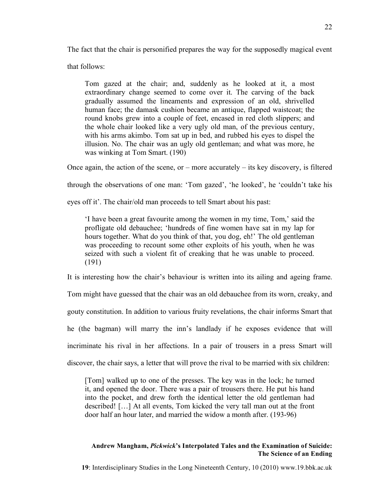The fact that the chair is personified prepares the way for the supposedly magical event

that follows:

Tom gazed at the chair; and, suddenly as he looked at it, a most extraordinary change seemed to come over it. The carving of the back gradually assumed the lineaments and expression of an old, shrivelled human face; the damask cushion became an antique, flapped waistcoat; the round knobs grew into a couple of feet, encased in red cloth slippers; and the whole chair looked like a very ugly old man, of the previous century, with his arms akimbo. Tom sat up in bed, and rubbed his eyes to dispel the illusion. No. The chair was an ugly old gentleman; and what was more, he was winking at Tom Smart. (190)

Once again, the action of the scene, or – more accurately – its key discovery, is filtered

through the observations of one man: 'Tom gazed', 'he looked', he 'couldn't take his

eyes off it'. The chair/old man proceeds to tell Smart about his past:

'I have been a great favourite among the women in my time, Tom,' said the profligate old debauchee; 'hundreds of fine women have sat in my lap for hours together. What do you think of that, you dog, eh!' The old gentleman was proceeding to recount some other exploits of his youth, when he was seized with such a violent fit of creaking that he was unable to proceed. (191)

It is interesting how the chair's behaviour is written into its ailing and ageing frame.

Tom might have guessed that the chair was an old debauchee from its worn, creaky, and gouty constitution. In addition to various fruity revelations, the chair informs Smart that he (the bagman) will marry the inn's landlady if he exposes evidence that will incriminate his rival in her affections. In a pair of trousers in a press Smart will discover, the chair says, a letter that will prove the rival to be married with six children:

[Tom] walked up to one of the presses. The key was in the lock; he turned it, and opened the door. There was a pair of trousers there. He put his hand into the pocket, and drew forth the identical letter the old gentleman had described! […] At all events, Tom kicked the very tall man out at the front door half an hour later, and married the widow a month after. (193-96)

## **Andrew Mangham,** *Pickwick***'s Interpolated Tales and the Examination of Suicide: The Science of an Ending**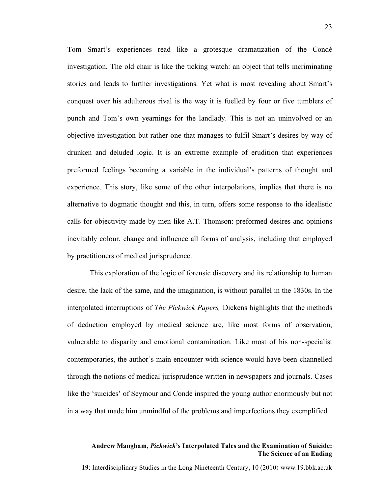Tom Smart's experiences read like a grotesque dramatization of the Condé investigation. The old chair is like the ticking watch: an object that tells incriminating stories and leads to further investigations. Yet what is most revealing about Smart's conquest over his adulterous rival is the way it is fuelled by four or five tumblers of punch and Tom's own yearnings for the landlady. This is not an uninvolved or an objective investigation but rather one that manages to fulfil Smart's desires by way of drunken and deluded logic. It is an extreme example of erudition that experiences preformed feelings becoming a variable in the individual's patterns of thought and experience. This story, like some of the other interpolations, implies that there is no alternative to dogmatic thought and this, in turn, offers some response to the idealistic calls for objectivity made by men like A.T. Thomson: preformed desires and opinions inevitably colour, change and influence all forms of analysis, including that employed by practitioners of medical jurisprudence.

This exploration of the logic of forensic discovery and its relationship to human desire, the lack of the same, and the imagination, is without parallel in the 1830s. In the interpolated interruptions of *The Pickwick Papers,* Dickens highlights that the methods of deduction employed by medical science are, like most forms of observation, vulnerable to disparity and emotional contamination. Like most of his non-specialist contemporaries, the author's main encounter with science would have been channelled through the notions of medical jurisprudence written in newspapers and journals. Cases like the 'suicides' of Seymour and Condé inspired the young author enormously but not in a way that made him unmindful of the problems and imperfections they exemplified.

### **Andrew Mangham,** *Pickwick***'s Interpolated Tales and the Examination of Suicide: The Science of an Ending**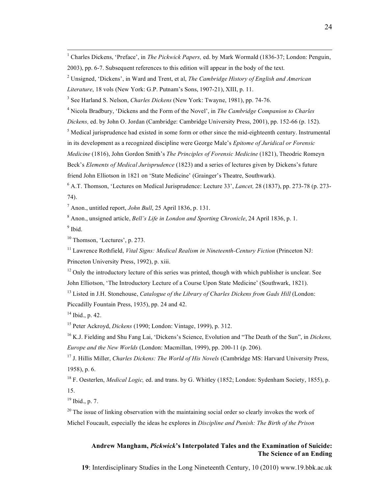1 Charles Dickens, 'Preface', in *The Pickwick Papers,* ed. by Mark Wormald (1836-37; London: Penguin, 2003), pp. 6-7. Subsequent references to this edition will appear in the body of the text.

*Literature*, 18 vols (New York: G.P. Putnam's Sons, 1907-21), XIII, p. 11.

<sup>3</sup> See Harland S. Nelson, *Charles Dickens* (New York: Twayne, 1981), pp. 74-76.

<sup>4</sup> Nicola Bradbury, 'Dickens and the Form of the Novel', in *The Cambridge Companion to Charles*

*Dickens,* ed. by John O. Jordan (Cambridge: Cambridge University Press, 2001), pp. 152-66 (p. 152).

<sup>5</sup> Medical jurisprudence had existed in some form or other since the mid-eighteenth century. Instrumental

in its development as a recognized discipline were George Male's *Epitome of Juridical or Forensic*

*Medicine* (1816), John Gordon Smith's *The Principles of Forensic Medicine* (1821), Theodric Romeyn

Beck's *Elements of Medical Jurisprudence* (1823) and a series of lectures given by Dickens's future

friend John Elliotson in 1821 on 'State Medicine' (Grainger's Theatre, Southwark).

<sup>6</sup> A.T. Thomson, 'Lectures on Medical Jurisprudence: Lecture 33', *Lancet,* 28 (1837), pp. 273-78 (p. 273- 74).

<sup>7</sup> Anon., untitled report, *John Bull*, 25 April 1836, p. 131.

<sup>8</sup> Anon., unsigned article, *Bell's Life in London and Sporting Chronicle*, 24 April 1836, p. 1.  $9$  Ibid.

<sup>10</sup> Thomson, 'Lectures', p. 273.

<sup>11</sup> Lawrence Rothfield, *Vital Signs: Medical Realism in Nineteenth-Century Fiction* (Princeton NJ: Princeton University Press, 1992), p. xiii.

 $12$  Only the introductory lecture of this series was printed, though with which publisher is unclear. See John Elliotson, 'The Introductory Lecture of a Course Upon State Medicine' (Southwark, 1821).

<sup>13</sup> Listed in J.H. Stonehouse, *Catalogue of the Library of Charles Dickens from Gads Hill* (London: Piccadilly Fountain Press, 1935), pp. 24 and 42.

 $14$  Ibid., p. 42.

<sup>15</sup> Peter Ackroyd, *Dickens* (1990; London: Vintage, 1999), p. 312.

<sup>16</sup> K.J. Fielding and Shu Fang Lai, 'Dickens's Science, Evolution and "The Death of the Sun", in *Dickens, Europe and the New Worlds* (London: Macmillan, 1999), pp. 200-11 (p. 206).

<sup>17</sup> J. Hillis Miller, *Charles Dickens: The World of His Novels* (Cambridge MS: Harvard University Press, 1958), p. 6.

<sup>18</sup> F. Oesterlen, *Medical Logic,* ed. and trans. by G. Whitley (1852; London: Sydenham Society, 1855), p. 15.

 $19$  Ibid., p. 7.

 $20$  The issue of linking observation with the maintaining social order so clearly invokes the work of Michel Foucault, especially the ideas he explores in *Discipline and Punish: The Birth of the Prison*

# **Andrew Mangham,** *Pickwick***'s Interpolated Tales and the Examination of Suicide: The Science of an Ending**

<sup>2</sup> Unsigned, 'Dickens', in Ward and Trent, et al, *The Cambridge History of English and American*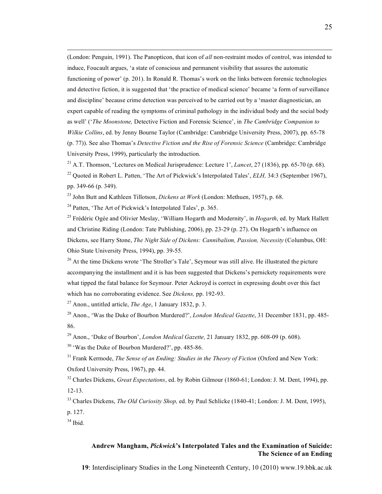(London: Penguin, 1991). The Panopticon, that icon of *all* non-restraint modes of control, was intended to induce, Foucault argues, 'a state of conscious and permanent visibility that assures the automatic functioning of power' (p. 201). In Ronald R. Thomas's work on the links between forensic technologies and detective fiction, it is suggested that 'the practice of medical science' became 'a form of surveillance and discipline' because crime detection was perceived to be carried out by a 'master diagnostician, an expert capable of reading the symptoms of criminal pathology in the individual body and the social body as well' ('*The Moonstone,* Detective Fiction and Forensic Science', in *The Cambridge Companion to Wilkie Collins*, ed. by Jenny Bourne Taylor (Cambridge: Cambridge University Press, 2007), pp. 65-78 (p. 77)). See also Thomas's *Detective Fiction and the Rise of Forensic Science* (Cambridge: Cambridge University Press, 1999), particularly the introduction.

<sup>21</sup> A.T. Thomson, 'Lectures on Medical Jurisprudence: Lecture 1', *Lancet*, 27 (1836), pp. 65-70 (p. 68). <sup>22</sup> Quoted in Robert L. Patten, 'The Art of Pickwick's Interpolated Tales', *ELH*, 34:3 (September 1967), pp. 349-66 (p. 349).

<sup>23</sup> John Butt and Kathleen Tillotson, *Dickens at Work* (London: Methuen, 1957), p. 68.

 $24$  Patten, 'The Art of Pickwick's Interpolated Tales', p. 365.

<sup>25</sup> Frédéric Ogée and Olivier Meslay, 'William Hogarth and Modernity', in *Hogarth*, ed. by Mark Hallett and Christine Riding (London: Tate Publishing, 2006), pp. 23-29 (p. 27). On Hogarth's influence on Dickens, see Harry Stone, *The Night Side of Dickens: Cannibalism, Passion, Necessity* (Columbus, OH: Ohio State University Press, 1994), pp. 39-55.

 $26$  At the time Dickens wrote 'The Stroller's Tale', Seymour was still alive. He illustrated the picture accompanying the installment and it is has been suggested that Dickens's pernickety requirements were what tipped the fatal balance for Seymour. Peter Ackroyd is correct in expressing doubt over this fact which has no corroborating evidence. See *Dickens,* pp. 192-93.

<sup>27</sup> Anon., untitled article, *The Age*, 1 January 1832, p. 3.

<sup>28</sup> Anon., 'Was the Duke of Bourbon Murdered?', *London Medical Gazette*, 31 December 1831, pp. 485- 86.

<sup>29</sup> Anon., 'Duke of Bourbon', *London Medical Gazette,* 21 January 1832, pp. 608-09 (p. 608).

<sup>30</sup> 'Was the Duke of Bourbon Murdered?', pp. 485-86.

<sup>31</sup> Frank Kermode, *The Sense of an Ending: Studies in the Theory of Fiction* (Oxford and New York: Oxford University Press, 1967), pp. 44.

<sup>32</sup> Charles Dickens, *Great Expectations*, ed. by Robin Gilmour (1860-61; London: J. M. Dent, 1994), pp. 12-13.

<sup>33</sup> Charles Dickens, *The Old Curiosity Shop,* ed. by Paul Schlicke (1840-41; London: J. M. Dent, 1995),

p. 127.

 $34$  Ibid.

## **Andrew Mangham,** *Pickwick***'s Interpolated Tales and the Examination of Suicide: The Science of an Ending**